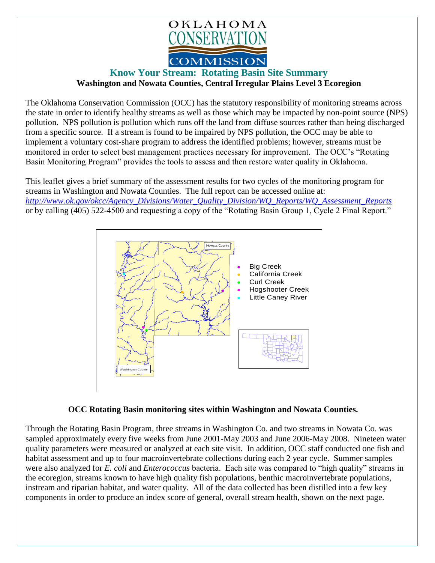

## **Know Your Stream: Rotating Basin Site Summary Washington and Nowata Counties, Central Irregular Plains Level 3 Ecoregion**

The Oklahoma Conservation Commission (OCC) has the statutory responsibility of monitoring streams across the state in order to identify healthy streams as well as those which may be impacted by non-point source (NPS) pollution. NPS pollution is pollution which runs off the land from diffuse sources rather than being discharged from a specific source. If a stream is found to be impaired by NPS pollution, the OCC may be able to implement a voluntary cost-share program to address the identified problems; however, streams must be monitored in order to select best management practices necessary for improvement. The OCC's "Rotating Basin Monitoring Program" provides the tools to assess and then restore water quality in Oklahoma.

This leaflet gives a brief summary of the assessment results for two cycles of the monitoring program for streams in Washington and Nowata Counties. The full report can be accessed online at: *[http://www.ok.gov/okcc/Agency\\_Divisions/Water\\_Quality\\_Division/WQ\\_Reports/WQ\\_Assessment\\_Reports](http://www.ok.gov/okcc/Agency_Divisions/Water_Quality_Division/WQ_Reports/WQ_Assessment_Reports)* or by calling (405) 522-4500 and requesting a copy of the "Rotating Basin Group 1, Cycle 2 Final Report."



## **OCC Rotating Basin monitoring sites within Washington and Nowata Counties.**

Through the Rotating Basin Program, three streams in Washington Co. and two streams in Nowata Co. was sampled approximately every five weeks from June 2001-May 2003 and June 2006-May 2008. Nineteen water quality parameters were measured or analyzed at each site visit. In addition, OCC staff conducted one fish and habitat assessment and up to four macroinvertebrate collections during each 2 year cycle. Summer samples were also analyzed for *E. coli* and *Enterococcus* bacteria. Each site was compared to "high quality" streams in the ecoregion, streams known to have high quality fish populations, benthic macroinvertebrate populations, instream and riparian habitat, and water quality. All of the data collected has been distilled into a few key components in order to produce an index score of general, overall stream health, shown on the next page.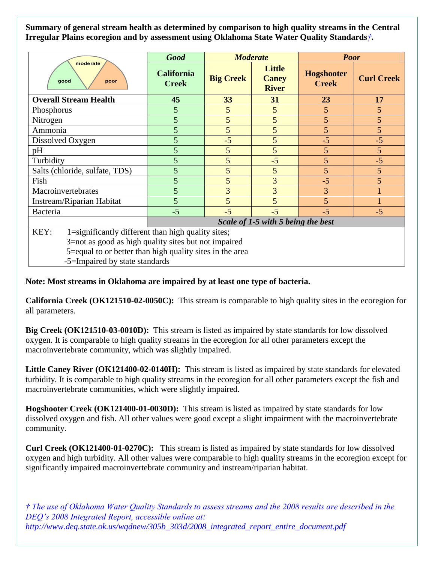**Summary of general stream health as determined by comparison to high quality streams in the Central Irregular Plains ecoregion and by assessment using Oklahoma State Water Quality Standards***†***.**

| moderate<br>good<br>poor                                   | <b>Good</b>                        | <b>Moderate</b>  |                                               | <b>Poor</b>                       |                   |
|------------------------------------------------------------|------------------------------------|------------------|-----------------------------------------------|-----------------------------------|-------------------|
|                                                            | <b>California</b><br><b>Creek</b>  | <b>Big Creek</b> | <b>Little</b><br><b>Caney</b><br><b>River</b> | <b>Hogshooter</b><br><b>Creek</b> | <b>Curl Creek</b> |
| <b>Overall Stream Health</b>                               | 45                                 | 33               | 31                                            | 23                                | 17                |
| Phosphorus                                                 | 5                                  | 5                | 5                                             | $5\overline{)}$                   | 5                 |
| Nitrogen                                                   | 5                                  | 5                | 5                                             | 5                                 | 5                 |
| Ammonia                                                    | 5                                  | 5                | 5                                             | 5                                 | 5                 |
| Dissolved Oxygen                                           | 5                                  | $-5$             | 5                                             | $-5$                              | $-5$              |
| pH                                                         | 5                                  | 5                | 5                                             | 5                                 | $5\overline{)}$   |
| Turbidity                                                  | 5                                  | 5                | $-5$                                          | 5                                 | $-5$              |
| Salts (chloride, sulfate, TDS)                             | 5                                  | 5                | 5                                             | 5                                 | 5                 |
| Fish                                                       | 5                                  | 5                | 3                                             | $-5$                              | 5                 |
| Macroinvertebrates                                         | 5                                  | 3                | 3                                             | 3                                 |                   |
| Instream/Riparian Habitat                                  | 5                                  | 5                | 5                                             | 5                                 |                   |
| Bacteria                                                   | $-5$                               | $-5$             | $-5$                                          | $-5$                              | $-5$              |
|                                                            | Scale of 1-5 with 5 being the best |                  |                                               |                                   |                   |
| KEY:<br>1=significantly different than high quality sites; |                                    |                  |                                               |                                   |                   |
| 3=not as good as high quality sites but not impaired       |                                    |                  |                                               |                                   |                   |
| 5=equal to or better than high quality sites in the area   |                                    |                  |                                               |                                   |                   |
| -5=Impaired by state standards                             |                                    |                  |                                               |                                   |                   |

## **Note: Most streams in Oklahoma are impaired by at least one type of bacteria.**

**California Creek (OK121510-02-0050C):** This stream is comparable to high quality sites in the ecoregion for all parameters.

**Big Creek (OK121510-03-0010D):** This stream is listed as impaired by state standards for low dissolved oxygen. It is comparable to high quality streams in the ecoregion for all other parameters except the macroinvertebrate community, which was slightly impaired.

**Little Caney River (OK121400-02-0140H):** This stream is listed as impaired by state standards for elevated turbidity. It is comparable to high quality streams in the ecoregion for all other parameters except the fish and macroinvertebrate communities, which were slightly impaired.

**Hogshooter Creek (OK121400-01-0030D):** This stream is listed as impaired by state standards for low dissolved oxygen and fish. All other values were good except a slight impairment with the macroinvertebrate community.

**Curl Creek (OK121400-01-0270C):** This stream is listed as impaired by state standards for low dissolved oxygen and high turbidity. All other values were comparable to high quality streams in the ecoregion except for significantly impaired macroinvertebrate community and instream/riparian habitat.

*† The use of Oklahoma Water Quality Standards to assess streams and the 2008 results are described in the DEQ's 2008 Integrated Report, accessible online at: http://www.deq.state.ok.us/wqdnew/305b\_303d/2008\_integrated\_report\_entire\_document.pdf*